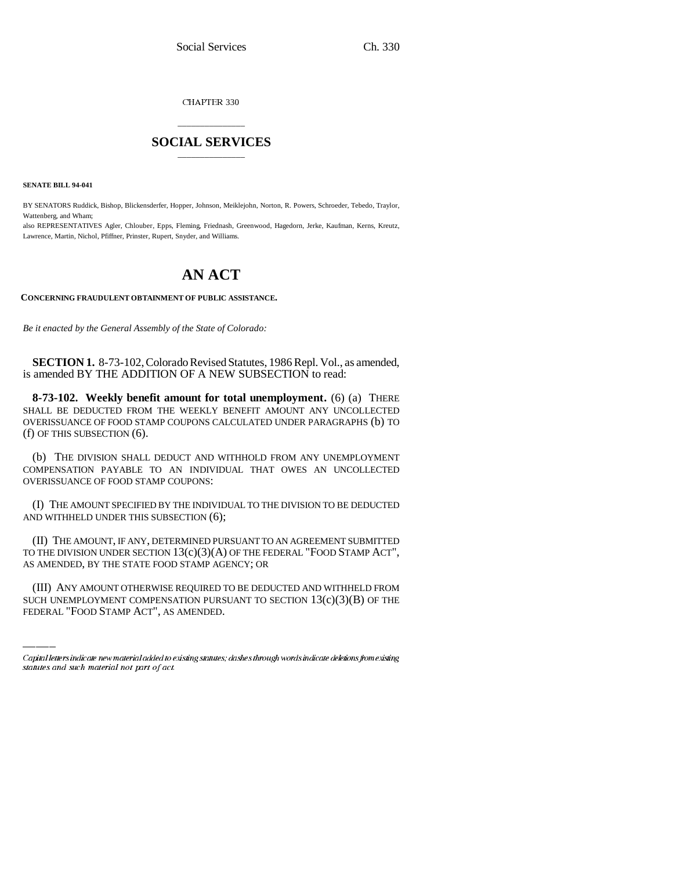CHAPTER 330

## \_\_\_\_\_\_\_\_\_\_\_\_\_\_\_ **SOCIAL SERVICES** \_\_\_\_\_\_\_\_\_\_\_\_\_\_\_

**SENATE BILL 94-041**

BY SENATORS Ruddick, Bishop, Blickensderfer, Hopper, Johnson, Meiklejohn, Norton, R. Powers, Schroeder, Tebedo, Traylor, Wattenberg, and Wham;

also REPRESENTATIVES Agler, Chlouber, Epps, Fleming, Friednash, Greenwood, Hagedorn, Jerke, Kaufman, Kerns, Kreutz, Lawrence, Martin, Nichol, Pfiffner, Prinster, Rupert, Snyder, and Williams.

## **AN ACT**

## **CONCERNING FRAUDULENT OBTAINMENT OF PUBLIC ASSISTANCE.**

*Be it enacted by the General Assembly of the State of Colorado:*

**SECTION 1.** 8-73-102, Colorado Revised Statutes, 1986 Repl. Vol., as amended, is amended BY THE ADDITION OF A NEW SUBSECTION to read:

**8-73-102. Weekly benefit amount for total unemployment.** (6) (a) THERE SHALL BE DEDUCTED FROM THE WEEKLY BENEFIT AMOUNT ANY UNCOLLECTED OVERISSUANCE OF FOOD STAMP COUPONS CALCULATED UNDER PARAGRAPHS (b) TO (f) OF THIS SUBSECTION (6).

(b) THE DIVISION SHALL DEDUCT AND WITHHOLD FROM ANY UNEMPLOYMENT COMPENSATION PAYABLE TO AN INDIVIDUAL THAT OWES AN UNCOLLECTED OVERISSUANCE OF FOOD STAMP COUPONS:

(I) THE AMOUNT SPECIFIED BY THE INDIVIDUAL TO THE DIVISION TO BE DEDUCTED AND WITHHELD UNDER THIS SUBSECTION (6);

AS AMENDED, BY THE STATE FOOD STAMP AGENCY; OR (II) THE AMOUNT, IF ANY, DETERMINED PURSUANT TO AN AGREEMENT SUBMITTED TO THE DIVISION UNDER SECTION  $13(c)(3)(A)$  OF THE FEDERAL "FOOD STAMP ACT",

(III) ANY AMOUNT OTHERWISE REQUIRED TO BE DEDUCTED AND WITHHELD FROM SUCH UNEMPLOYMENT COMPENSATION PURSUANT TO SECTION  $13(c)(3)(B)$  OF THE FEDERAL "FOOD STAMP ACT", AS AMENDED.

Capital letters indicate new material added to existing statutes; dashes through words indicate deletions from existing statutes and such material not part of act.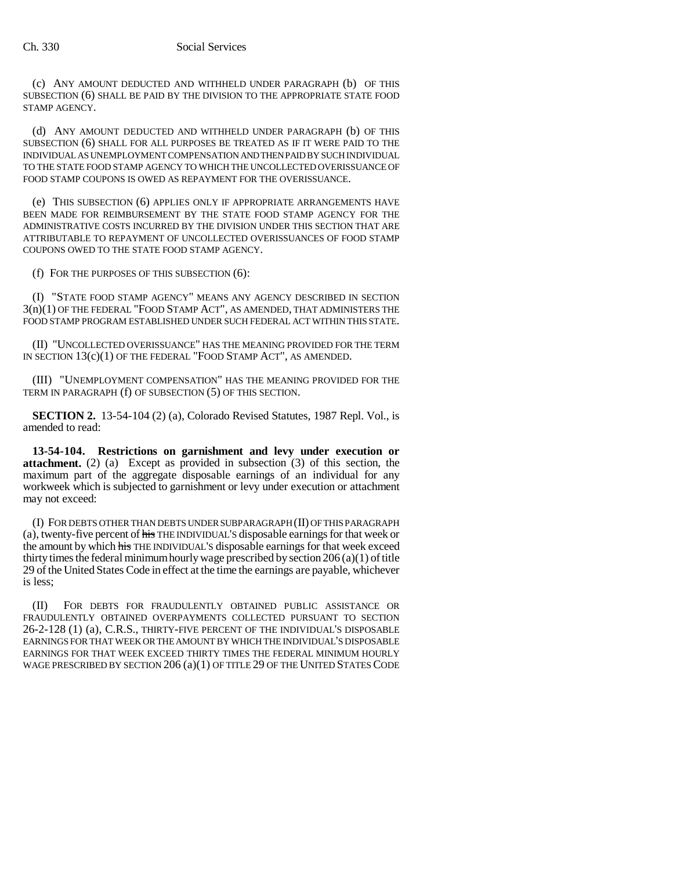(c) ANY AMOUNT DEDUCTED AND WITHHELD UNDER PARAGRAPH (b) OF THIS SUBSECTION (6) SHALL BE PAID BY THE DIVISION TO THE APPROPRIATE STATE FOOD STAMP AGENCY.

(d) ANY AMOUNT DEDUCTED AND WITHHELD UNDER PARAGRAPH (b) OF THIS SUBSECTION (6) SHALL FOR ALL PURPOSES BE TREATED AS IF IT WERE PAID TO THE INDIVIDUAL AS UNEMPLOYMENT COMPENSATION AND THEN PAID BY SUCH INDIVIDUAL TO THE STATE FOOD STAMP AGENCY TO WHICH THE UNCOLLECTED OVERISSUANCE OF FOOD STAMP COUPONS IS OWED AS REPAYMENT FOR THE OVERISSUANCE.

(e) THIS SUBSECTION (6) APPLIES ONLY IF APPROPRIATE ARRANGEMENTS HAVE BEEN MADE FOR REIMBURSEMENT BY THE STATE FOOD STAMP AGENCY FOR THE ADMINISTRATIVE COSTS INCURRED BY THE DIVISION UNDER THIS SECTION THAT ARE ATTRIBUTABLE TO REPAYMENT OF UNCOLLECTED OVERISSUANCES OF FOOD STAMP COUPONS OWED TO THE STATE FOOD STAMP AGENCY.

(f) FOR THE PURPOSES OF THIS SUBSECTION (6):

(I) "STATE FOOD STAMP AGENCY" MEANS ANY AGENCY DESCRIBED IN SECTION 3(n)(1) OF THE FEDERAL "FOOD STAMP ACT", AS AMENDED, THAT ADMINISTERS THE FOOD STAMP PROGRAM ESTABLISHED UNDER SUCH FEDERAL ACT WITHIN THIS STATE.

(II) "UNCOLLECTED OVERISSUANCE" HAS THE MEANING PROVIDED FOR THE TERM IN SECTION 13(c)(1) OF THE FEDERAL "FOOD STAMP ACT", AS AMENDED.

(III) "UNEMPLOYMENT COMPENSATION" HAS THE MEANING PROVIDED FOR THE TERM IN PARAGRAPH (f) OF SUBSECTION (5) OF THIS SECTION.

**SECTION 2.** 13-54-104 (2) (a), Colorado Revised Statutes, 1987 Repl. Vol., is amended to read:

**13-54-104. Restrictions on garnishment and levy under execution or attachment.** (2) (a) Except as provided in subsection (3) of this section, the maximum part of the aggregate disposable earnings of an individual for any workweek which is subjected to garnishment or levy under execution or attachment may not exceed:

(I) FOR DEBTS OTHER THAN DEBTS UNDER SUBPARAGRAPH (II) OF THIS PARAGRAPH (a), twenty-five percent of his THE INDIVIDUAL'S disposable earnings for that week or the amount by which his THE INDIVIDUAL'S disposable earnings for that week exceed thirty times the federal minimum hourly wage prescribed by section 206 (a)(1) of title 29 of the United States Code in effect at the time the earnings are payable, whichever is less;

(II) FOR DEBTS FOR FRAUDULENTLY OBTAINED PUBLIC ASSISTANCE OR FRAUDULENTLY OBTAINED OVERPAYMENTS COLLECTED PURSUANT TO SECTION 26-2-128 (1) (a), C.R.S., THIRTY-FIVE PERCENT OF THE INDIVIDUAL'S DISPOSABLE EARNINGS FOR THAT WEEK OR THE AMOUNT BY WHICH THE INDIVIDUAL'S DISPOSABLE EARNINGS FOR THAT WEEK EXCEED THIRTY TIMES THE FEDERAL MINIMUM HOURLY WAGE PRESCRIBED BY SECTION 206 (a)(1) OF TITLE 29 OF THE UNITED STATES CODE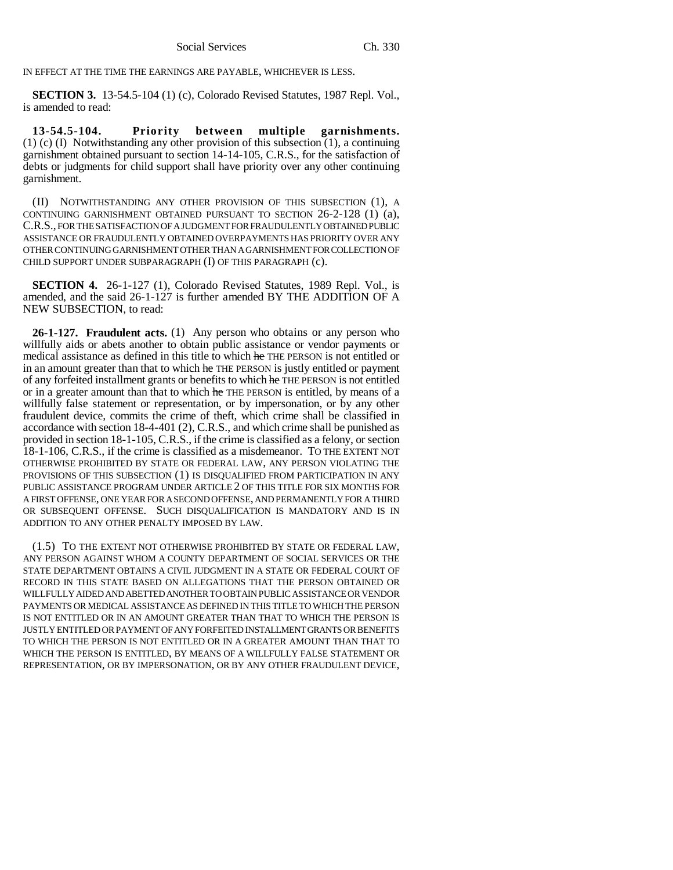IN EFFECT AT THE TIME THE EARNINGS ARE PAYABLE, WHICHEVER IS LESS.

**SECTION 3.** 13-54.5-104 (1) (c), Colorado Revised Statutes, 1987 Repl. Vol., is amended to read:

**13-54.5-104. Priority between multiple garnishments.** (1) (c) (I) Notwithstanding any other provision of this subsection (1), a continuing garnishment obtained pursuant to section 14-14-105, C.R.S., for the satisfaction of debts or judgments for child support shall have priority over any other continuing garnishment.

(II) NOTWITHSTANDING ANY OTHER PROVISION OF THIS SUBSECTION (1), A CONTINUING GARNISHMENT OBTAINED PURSUANT TO SECTION 26-2-128 (1) (a), C.R.S., FOR THE SATISFACTION OF A JUDGMENT FOR FRAUDULENTLY OBTAINED PUBLIC ASSISTANCE OR FRAUDULENTLY OBTAINED OVERPAYMENTS HAS PRIORITY OVER ANY OTHER CONTINUING GARNISHMENT OTHER THAN A GARNISHMENT FOR COLLECTION OF CHILD SUPPORT UNDER SUBPARAGRAPH (I) OF THIS PARAGRAPH (c).

**SECTION 4.** 26-1-127 (1), Colorado Revised Statutes, 1989 Repl. Vol., is amended, and the said 26-1-127 is further amended BY THE ADDITION OF A NEW SUBSECTION, to read:

**26-1-127. Fraudulent acts.** (1) Any person who obtains or any person who willfully aids or abets another to obtain public assistance or vendor payments or medical assistance as defined in this title to which he THE PERSON is not entitled or in an amount greater than that to which he THE PERSON is justly entitled or payment of any forfeited installment grants or benefits to which he THE PERSON is not entitled or in a greater amount than that to which he THE PERSON is entitled, by means of a willfully false statement or representation, or by impersonation, or by any other fraudulent device, commits the crime of theft, which crime shall be classified in accordance with section 18-4-401 (2), C.R.S., and which crime shall be punished as provided in section 18-1-105, C.R.S., if the crime is classified as a felony, or section 18-1-106, C.R.S., if the crime is classified as a misdemeanor. TO THE EXTENT NOT OTHERWISE PROHIBITED BY STATE OR FEDERAL LAW, ANY PERSON VIOLATING THE PROVISIONS OF THIS SUBSECTION (1) IS DISQUALIFIED FROM PARTICIPATION IN ANY PUBLIC ASSISTANCE PROGRAM UNDER ARTICLE 2 OF THIS TITLE FOR SIX MONTHS FOR A FIRST OFFENSE, ONE YEAR FOR A SECOND OFFENSE, AND PERMANENTLY FOR A THIRD OR SUBSEQUENT OFFENSE. SUCH DISQUALIFICATION IS MANDATORY AND IS IN ADDITION TO ANY OTHER PENALTY IMPOSED BY LAW.

(1.5) TO THE EXTENT NOT OTHERWISE PROHIBITED BY STATE OR FEDERAL LAW, ANY PERSON AGAINST WHOM A COUNTY DEPARTMENT OF SOCIAL SERVICES OR THE STATE DEPARTMENT OBTAINS A CIVIL JUDGMENT IN A STATE OR FEDERAL COURT OF RECORD IN THIS STATE BASED ON ALLEGATIONS THAT THE PERSON OBTAINED OR WILLFULLY AIDED AND ABETTED ANOTHER TO OBTAIN PUBLIC ASSISTANCE OR VENDOR PAYMENTS OR MEDICAL ASSISTANCE AS DEFINED IN THIS TITLE TO WHICH THE PERSON IS NOT ENTITLED OR IN AN AMOUNT GREATER THAN THAT TO WHICH THE PERSON IS JUSTLY ENTITLED OR PAYMENT OF ANY FORFEITED INSTALLMENT GRANTS OR BENEFITS TO WHICH THE PERSON IS NOT ENTITLED OR IN A GREATER AMOUNT THAN THAT TO WHICH THE PERSON IS ENTITLED, BY MEANS OF A WILLFULLY FALSE STATEMENT OR REPRESENTATION, OR BY IMPERSONATION, OR BY ANY OTHER FRAUDULENT DEVICE,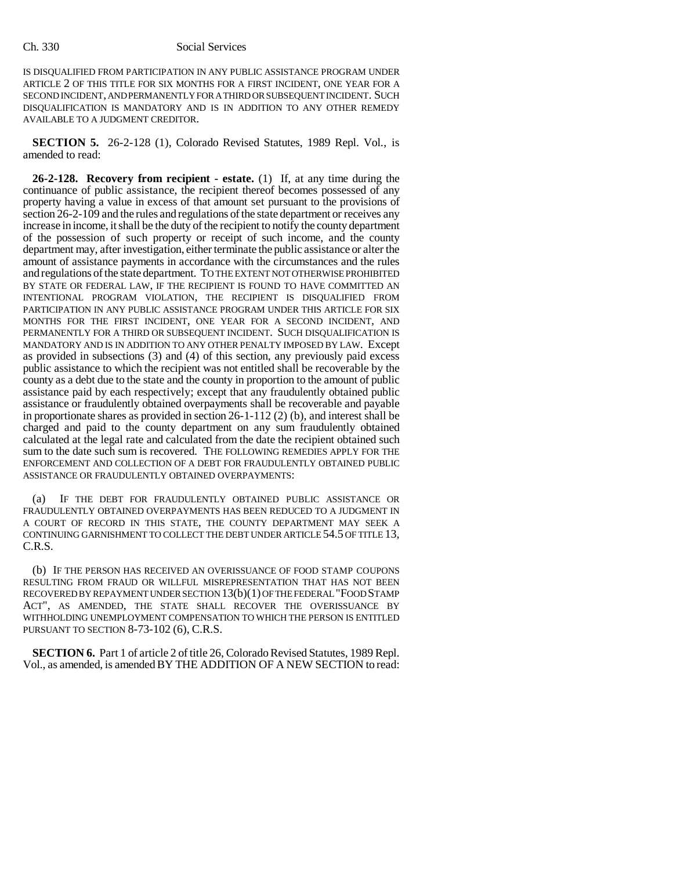IS DISQUALIFIED FROM PARTICIPATION IN ANY PUBLIC ASSISTANCE PROGRAM UNDER ARTICLE 2 OF THIS TITLE FOR SIX MONTHS FOR A FIRST INCIDENT, ONE YEAR FOR A SECOND INCIDENT, AND PERMANENTLY FOR A THIRD OR SUBSEQUENT INCIDENT. SUCH DISQUALIFICATION IS MANDATORY AND IS IN ADDITION TO ANY OTHER REMEDY AVAILABLE TO A JUDGMENT CREDITOR.

**SECTION 5.** 26-2-128 (1), Colorado Revised Statutes, 1989 Repl. Vol., is amended to read:

**26-2-128. Recovery from recipient - estate.** (1) If, at any time during the continuance of public assistance, the recipient thereof becomes possessed of any property having a value in excess of that amount set pursuant to the provisions of section 26-2-109 and the rules and regulations of the state department or receives any increase in income, it shall be the duty of the recipient to notify the county department of the possession of such property or receipt of such income, and the county department may, after investigation, either terminate the public assistance or alter the amount of assistance payments in accordance with the circumstances and the rules and regulations of the state department. TO THE EXTENT NOT OTHERWISE PROHIBITED BY STATE OR FEDERAL LAW, IF THE RECIPIENT IS FOUND TO HAVE COMMITTED AN INTENTIONAL PROGRAM VIOLATION, THE RECIPIENT IS DISQUALIFIED FROM PARTICIPATION IN ANY PUBLIC ASSISTANCE PROGRAM UNDER THIS ARTICLE FOR SIX MONTHS FOR THE FIRST INCIDENT, ONE YEAR FOR A SECOND INCIDENT, AND PERMANENTLY FOR A THIRD OR SUBSEQUENT INCIDENT. SUCH DISQUALIFICATION IS MANDATORY AND IS IN ADDITION TO ANY OTHER PENALTY IMPOSED BY LAW. Except as provided in subsections (3) and (4) of this section, any previously paid excess public assistance to which the recipient was not entitled shall be recoverable by the county as a debt due to the state and the county in proportion to the amount of public assistance paid by each respectively; except that any fraudulently obtained public assistance or fraudulently obtained overpayments shall be recoverable and payable in proportionate shares as provided in section 26-1-112 (2) (b), and interest shall be charged and paid to the county department on any sum fraudulently obtained calculated at the legal rate and calculated from the date the recipient obtained such sum to the date such sum is recovered. THE FOLLOWING REMEDIES APPLY FOR THE ENFORCEMENT AND COLLECTION OF A DEBT FOR FRAUDULENTLY OBTAINED PUBLIC ASSISTANCE OR FRAUDULENTLY OBTAINED OVERPAYMENTS:

(a) IF THE DEBT FOR FRAUDULENTLY OBTAINED PUBLIC ASSISTANCE OR FRAUDULENTLY OBTAINED OVERPAYMENTS HAS BEEN REDUCED TO A JUDGMENT IN A COURT OF RECORD IN THIS STATE, THE COUNTY DEPARTMENT MAY SEEK A CONTINUING GARNISHMENT TO COLLECT THE DEBT UNDER ARTICLE 54.5 OF TITLE 13, C.R.S.

(b) IF THE PERSON HAS RECEIVED AN OVERISSUANCE OF FOOD STAMP COUPONS RESULTING FROM FRAUD OR WILLFUL MISREPRESENTATION THAT HAS NOT BEEN RECOVERED BY REPAYMENT UNDER SECTION 13(b)(1) OF THE FEDERAL "FOOD STAMP ACT", AS AMENDED, THE STATE SHALL RECOVER THE OVERISSUANCE BY WITHHOLDING UNEMPLOYMENT COMPENSATION TO WHICH THE PERSON IS ENTITLED PURSUANT TO SECTION 8-73-102 (6), C.R.S.

**SECTION 6.** Part 1 of article 2 of title 26, Colorado Revised Statutes, 1989 Repl. Vol., as amended, is amended BY THE ADDITION OF A NEW SECTION to read: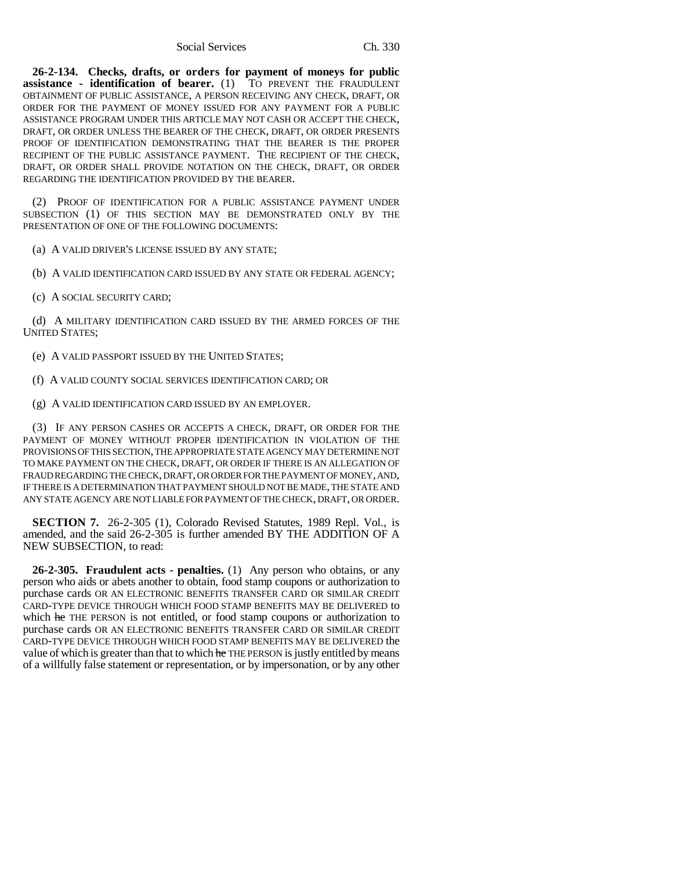Social Services Ch. 330

**26-2-134. Checks, drafts, or orders for payment of moneys for public assistance - identification of bearer.** (1) TO PREVENT THE FRAUDULENT OBTAINMENT OF PUBLIC ASSISTANCE, A PERSON RECEIVING ANY CHECK, DRAFT, OR ORDER FOR THE PAYMENT OF MONEY ISSUED FOR ANY PAYMENT FOR A PUBLIC ASSISTANCE PROGRAM UNDER THIS ARTICLE MAY NOT CASH OR ACCEPT THE CHECK, DRAFT, OR ORDER UNLESS THE BEARER OF THE CHECK, DRAFT, OR ORDER PRESENTS PROOF OF IDENTIFICATION DEMONSTRATING THAT THE BEARER IS THE PROPER RECIPIENT OF THE PUBLIC ASSISTANCE PAYMENT. THE RECIPIENT OF THE CHECK, DRAFT, OR ORDER SHALL PROVIDE NOTATION ON THE CHECK, DRAFT, OR ORDER REGARDING THE IDENTIFICATION PROVIDED BY THE BEARER.

(2) PROOF OF IDENTIFICATION FOR A PUBLIC ASSISTANCE PAYMENT UNDER SUBSECTION (1) OF THIS SECTION MAY BE DEMONSTRATED ONLY BY THE PRESENTATION OF ONE OF THE FOLLOWING DOCUMENTS:

(a) A VALID DRIVER'S LICENSE ISSUED BY ANY STATE;

(b) A VALID IDENTIFICATION CARD ISSUED BY ANY STATE OR FEDERAL AGENCY;

(c) A SOCIAL SECURITY CARD;

(d) A MILITARY IDENTIFICATION CARD ISSUED BY THE ARMED FORCES OF THE UNITED STATES;

(e) A VALID PASSPORT ISSUED BY THE UNITED STATES;

(f) A VALID COUNTY SOCIAL SERVICES IDENTIFICATION CARD; OR

(g) A VALID IDENTIFICATION CARD ISSUED BY AN EMPLOYER.

(3) IF ANY PERSON CASHES OR ACCEPTS A CHECK, DRAFT, OR ORDER FOR THE PAYMENT OF MONEY WITHOUT PROPER IDENTIFICATION IN VIOLATION OF THE PROVISIONS OF THIS SECTION, THE APPROPRIATE STATE AGENCY MAY DETERMINE NOT TO MAKE PAYMENT ON THE CHECK, DRAFT, OR ORDER IF THERE IS AN ALLEGATION OF FRAUD REGARDING THE CHECK, DRAFT, OR ORDER FOR THE PAYMENT OF MONEY, AND, IF THERE IS A DETERMINATION THAT PAYMENT SHOULD NOT BE MADE, THE STATE AND ANY STATE AGENCY ARE NOT LIABLE FOR PAYMENT OF THE CHECK, DRAFT, OR ORDER.

**SECTION 7.** 26-2-305 (1), Colorado Revised Statutes, 1989 Repl. Vol., is amended, and the said 26-2-305 is further amended BY THE ADDITION OF A NEW SUBSECTION, to read:

**26-2-305. Fraudulent acts - penalties.** (1) Any person who obtains, or any person who aids or abets another to obtain, food stamp coupons or authorization to purchase cards OR AN ELECTRONIC BENEFITS TRANSFER CARD OR SIMILAR CREDIT CARD-TYPE DEVICE THROUGH WHICH FOOD STAMP BENEFITS MAY BE DELIVERED to which he THE PERSON is not entitled, or food stamp coupons or authorization to purchase cards OR AN ELECTRONIC BENEFITS TRANSFER CARD OR SIMILAR CREDIT CARD-TYPE DEVICE THROUGH WHICH FOOD STAMP BENEFITS MAY BE DELIVERED the value of which is greater than that to which he THE PERSON is justly entitled by means of a willfully false statement or representation, or by impersonation, or by any other